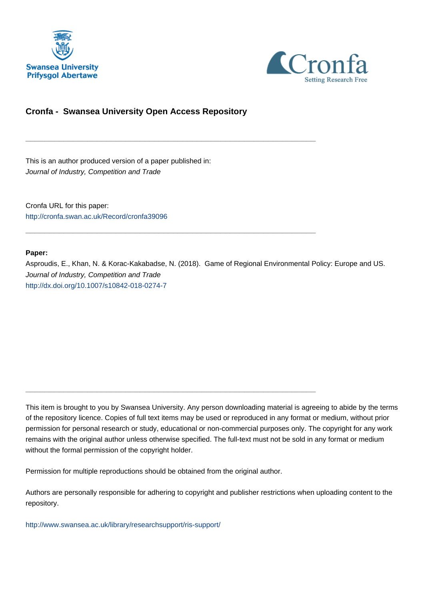



# **Cronfa - Swansea University Open Access Repository**

\_\_\_\_\_\_\_\_\_\_\_\_\_\_\_\_\_\_\_\_\_\_\_\_\_\_\_\_\_\_\_\_\_\_\_\_\_\_\_\_\_\_\_\_\_\_\_\_\_\_\_\_\_\_\_\_\_\_\_\_\_

\_\_\_\_\_\_\_\_\_\_\_\_\_\_\_\_\_\_\_\_\_\_\_\_\_\_\_\_\_\_\_\_\_\_\_\_\_\_\_\_\_\_\_\_\_\_\_\_\_\_\_\_\_\_\_\_\_\_\_\_\_

\_\_\_\_\_\_\_\_\_\_\_\_\_\_\_\_\_\_\_\_\_\_\_\_\_\_\_\_\_\_\_\_\_\_\_\_\_\_\_\_\_\_\_\_\_\_\_\_\_\_\_\_\_\_\_\_\_\_\_\_\_

This is an author produced version of a paper published in: Journal of Industry, Competition and Trade

Cronfa URL for this paper: <http://cronfa.swan.ac.uk/Record/cronfa39096>

### **Paper:**

Asproudis, E., Khan, N. & Korac-Kakabadse, N. (2018). Game of Regional Environmental Policy: Europe and US. Journal of Industry, Competition and Trade <http://dx.doi.org/10.1007/s10842-018-0274-7>

This item is brought to you by Swansea University. Any person downloading material is agreeing to abide by the terms of the repository licence. Copies of full text items may be used or reproduced in any format or medium, without prior permission for personal research or study, educational or non-commercial purposes only. The copyright for any work remains with the original author unless otherwise specified. The full-text must not be sold in any format or medium without the formal permission of the copyright holder.

Permission for multiple reproductions should be obtained from the original author.

Authors are personally responsible for adhering to copyright and publisher restrictions when uploading content to the repository.

[http://www.swansea.ac.uk/library/researchsupport/ris-support/](http://www.swansea.ac.uk/library/researchsupport/ris-support/ )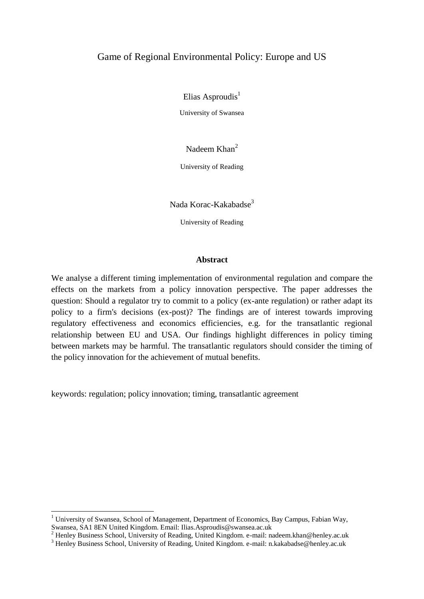# Game of Regional Environmental Policy: Europe and US

Elias Asproudis $<sup>1</sup>$ </sup>

University of Swansea

Nadeem Khan<sup>2</sup>

University of Reading

Nada Korac-Kakabadse<sup>3</sup>

University of Reading

### **Abstract**

We analyse a different timing implementation of environmental regulation and compare the effects on the markets from a policy innovation perspective. The paper addresses the question: Should a regulator try to commit to a policy (ex-ante regulation) or rather adapt its policy to a firm's decisions (ex-post)? The findings are of interest towards improving regulatory effectiveness and economics efficiencies, e.g. for the transatlantic regional relationship between EU and USA. Our findings highlight differences in policy timing between markets may be harmful. The transatlantic regulators should consider the timing of the policy innovation for the achievement of mutual benefits.

keywords: regulation; policy innovation; timing, transatlantic agreement

**.** 

<sup>1</sup> University of Swansea, School of Management, Department of Economics, Bay Campus, Fabian Way, Swansea, SA1 8EN United Kingdom. Email: Ilias.Asproudis@swansea.ac.uk

<sup>&</sup>lt;sup>2</sup> Henley Business School, University of Reading, United Kingdom. e-mail: nadeem.khan@henley.ac.uk

<sup>&</sup>lt;sup>3</sup> Henley Business School, University of Reading, United Kingdom. e-mail: n.kakabadse@henley.ac.uk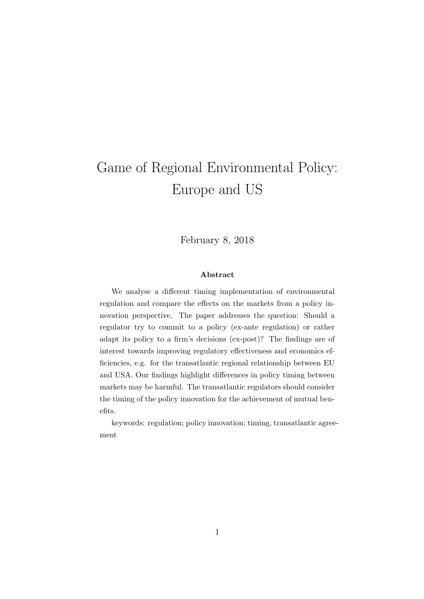# Game of Regional Environmental Policy: Europe and US

February 8, 2018

### Abstract

We analyse a different timing implementation of environmental regulation and compare the effects on the markets from a policy innovation perspective. The paper addresses the question: Should a regulator try to commit to a policy (ex-ante regulation) or rather adapt its policy to a firm's decisions (ex-post)? The findings are of interest towards improving regulatory effectiveness and economics efficiencies, e.g. for the transatlantic regional relationship between EU and USA. Our findings highlight differences in policy timing between markets may be harmful. The transatlantic regulators should consider the timing of the policy innovation for the achievement of mutual benefits.

keywords: regulation; policy innovation; timing, transatlantic agreement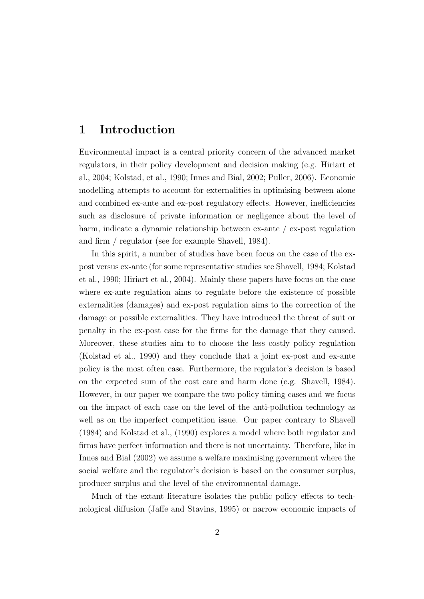# 1 Introduction

Environmental impact is a central priority concern of the advanced market regulators, in their policy development and decision making (e.g. Hiriart et al., 2004; Kolstad, et al., 1990; Innes and Bial, 2002; Puller, 2006). Economic modelling attempts to account for externalities in optimising between alone and combined ex-ante and ex-post regulatory effects. However, inefficiencies such as disclosure of private information or negligence about the level of harm, indicate a dynamic relationship between ex-ante / ex-post regulation and firm / regulator (see for example Shavell, 1984).

In this spirit, a number of studies have been focus on the case of the expost versus ex-ante (for some representative studies see Shavell, 1984; Kolstad et al., 1990; Hiriart et al., 2004). Mainly these papers have focus on the case where ex-ante regulation aims to regulate before the existence of possible externalities (damages) and ex-post regulation aims to the correction of the damage or possible externalities. They have introduced the threat of suit or penalty in the ex-post case for the firms for the damage that they caused. Moreover, these studies aim to to choose the less costly policy regulation (Kolstad et al., 1990) and they conclude that a joint ex-post and ex-ante policy is the most often case. Furthermore, the regulator's decision is based on the expected sum of the cost care and harm done (e.g. Shavell, 1984). However, in our paper we compare the two policy timing cases and we focus on the impact of each case on the level of the anti-pollution technology as well as on the imperfect competition issue. Our paper contrary to Shavell (1984) and Kolstad et al., (1990) explores a model where both regulator and firms have perfect information and there is not uncertainty. Therefore, like in Innes and Bial (2002) we assume a welfare maximising government where the social welfare and the regulator's decision is based on the consumer surplus, producer surplus and the level of the environmental damage.

Much of the extant literature isolates the public policy effects to technological diffusion (Jaffe and Stavins, 1995) or narrow economic impacts of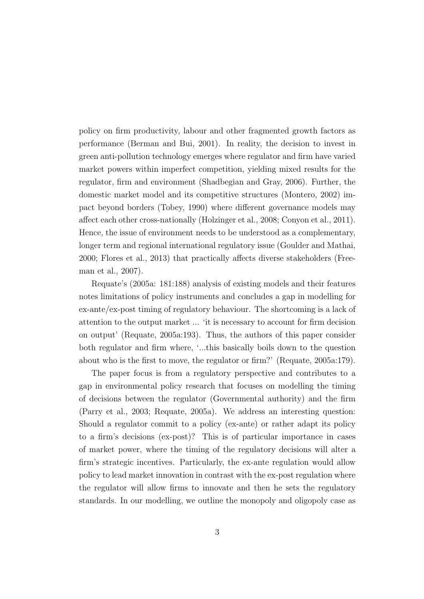policy on firm productivity, labour and other fragmented growth factors as performance (Berman and Bui, 2001). In reality, the decision to invest in green anti-pollution technology emerges where regulator and firm have varied market powers within imperfect competition, yielding mixed results for the regulator, firm and environment (Shadbegian and Gray, 2006). Further, the domestic market model and its competitive structures (Montero, 2002) impact beyond borders (Tobey, 1990) where different governance models may affect each other cross-nationally (Holzinger et al., 2008; Conyon et al., 2011). Hence, the issue of environment needs to be understood as a complementary, longer term and regional international regulatory issue (Goulder and Mathai, 2000; Flores et al., 2013) that practically affects diverse stakeholders (Freeman et al., 2007).

Requate's (2005a: 181:188) analysis of existing models and their features notes limitations of policy instruments and concludes a gap in modelling for ex-ante/ex-post timing of regulatory behaviour. The shortcoming is a lack of attention to the output market ... 'it is necessary to account for firm decision on output' (Requate, 2005a:193). Thus, the authors of this paper consider both regulator and firm where, '...this basically boils down to the question about who is the first to move, the regulator or firm?' (Requate, 2005a:179).

The paper focus is from a regulatory perspective and contributes to a gap in environmental policy research that focuses on modelling the timing of decisions between the regulator (Governmental authority) and the firm (Parry et al., 2003; Requate, 2005a). We address an interesting question: Should a regulator commit to a policy (ex-ante) or rather adapt its policy to a firm's decisions (ex-post)? This is of particular importance in cases of market power, where the timing of the regulatory decisions will alter a firm's strategic incentives. Particularly, the ex-ante regulation would allow policy to lead market innovation in contrast with the ex-post regulation where the regulator will allow firms to innovate and then he sets the regulatory standards. In our modelling, we outline the monopoly and oligopoly case as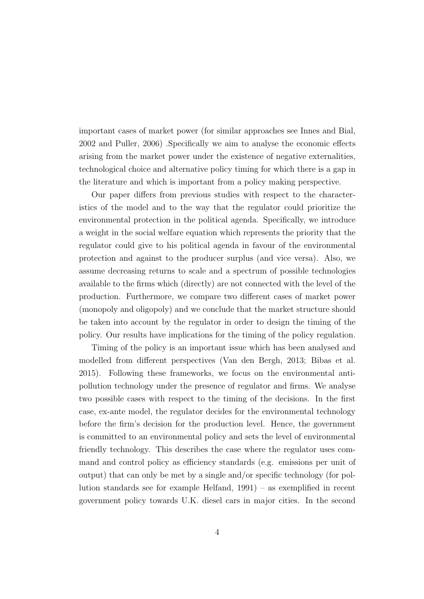important cases of market power (for similar approaches see Innes and Bial, 2002 and Puller, 2006) .Specifically we aim to analyse the economic effects arising from the market power under the existence of negative externalities, technological choice and alternative policy timing for which there is a gap in the literature and which is important from a policy making perspective.

Our paper differs from previous studies with respect to the characteristics of the model and to the way that the regulator could prioritize the environmental protection in the political agenda. Specifically, we introduce a weight in the social welfare equation which represents the priority that the regulator could give to his political agenda in favour of the environmental protection and against to the producer surplus (and vice versa). Also, we assume decreasing returns to scale and a spectrum of possible technologies available to the firms which (directly) are not connected with the level of the production. Furthermore, we compare two different cases of market power (monopoly and oligopoly) and we conclude that the market structure should be taken into account by the regulator in order to design the timing of the policy. Our results have implications for the timing of the policy regulation.

Timing of the policy is an important issue which has been analysed and modelled from different perspectives (Van den Bergh, 2013; Bibas et al. 2015). Following these frameworks, we focus on the environmental antipollution technology under the presence of regulator and firms. We analyse two possible cases with respect to the timing of the decisions. In the first case, ex-ante model, the regulator decides for the environmental technology before the firm's decision for the production level. Hence, the government is committed to an environmental policy and sets the level of environmental friendly technology. This describes the case where the regulator uses command and control policy as efficiency standards (e.g. emissions per unit of output) that can only be met by a single and/or specific technology (for pollution standards see for example Helfand, 1991) – as exemplified in recent government policy towards U.K. diesel cars in major cities. In the second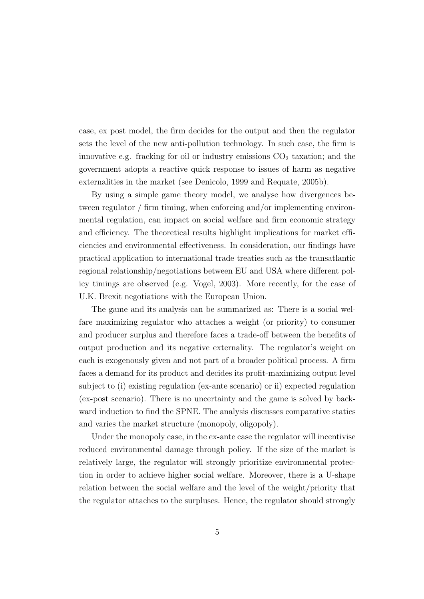case, ex post model, the firm decides for the output and then the regulator sets the level of the new anti-pollution technology. In such case, the firm is innovative e.g. fracking for oil or industry emissions  $CO<sub>2</sub>$  taxation; and the government adopts a reactive quick response to issues of harm as negative externalities in the market (see Denicolo, 1999 and Requate, 2005b).

By using a simple game theory model, we analyse how divergences between regulator / firm timing, when enforcing and/or implementing environmental regulation, can impact on social welfare and firm economic strategy and efficiency. The theoretical results highlight implications for market efficiencies and environmental effectiveness. In consideration, our findings have practical application to international trade treaties such as the transatlantic regional relationship/negotiations between EU and USA where different policy timings are observed (e.g. Vogel, 2003). More recently, for the case of U.K. Brexit negotiations with the European Union.

The game and its analysis can be summarized as: There is a social welfare maximizing regulator who attaches a weight (or priority) to consumer and producer surplus and therefore faces a trade-off between the benefits of output production and its negative externality. The regulator's weight on each is exogenously given and not part of a broader political process. A firm faces a demand for its product and decides its profit-maximizing output level subject to (i) existing regulation (ex-ante scenario) or ii) expected regulation (ex-post scenario). There is no uncertainty and the game is solved by backward induction to find the SPNE. The analysis discusses comparative statics and varies the market structure (monopoly, oligopoly).

Under the monopoly case, in the ex-ante case the regulator will incentivise reduced environmental damage through policy. If the size of the market is relatively large, the regulator will strongly prioritize environmental protection in order to achieve higher social welfare. Moreover, there is a U-shape relation between the social welfare and the level of the weight/priority that the regulator attaches to the surpluses. Hence, the regulator should strongly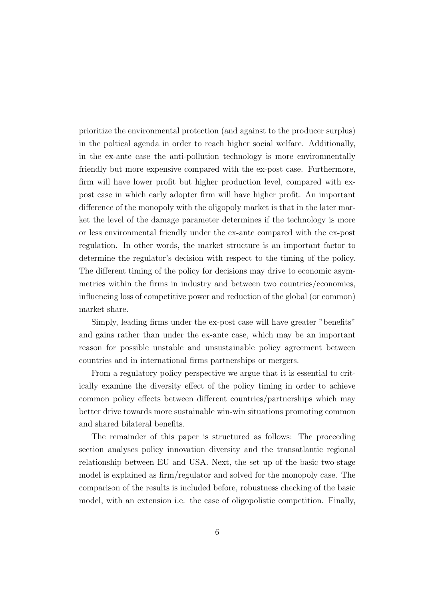prioritize the environmental protection (and against to the producer surplus) in the poltical agenda in order to reach higher social welfare. Additionally, in the ex-ante case the anti-pollution technology is more environmentally friendly but more expensive compared with the ex-post case. Furthermore, firm will have lower profit but higher production level, compared with expost case in which early adopter firm will have higher profit. An important difference of the monopoly with the oligopoly market is that in the later market the level of the damage parameter determines if the technology is more or less environmental friendly under the ex-ante compared with the ex-post regulation. In other words, the market structure is an important factor to determine the regulator's decision with respect to the timing of the policy. The different timing of the policy for decisions may drive to economic asymmetries within the firms in industry and between two countries/economies, influencing loss of competitive power and reduction of the global (or common) market share.

Simply, leading firms under the ex-post case will have greater "benefits" and gains rather than under the ex-ante case, which may be an important reason for possible unstable and unsustainable policy agreement between countries and in international firms partnerships or mergers.

From a regulatory policy perspective we argue that it is essential to critically examine the diversity effect of the policy timing in order to achieve common policy effects between different countries/partnerships which may better drive towards more sustainable win-win situations promoting common and shared bilateral benefits.

The remainder of this paper is structured as follows: The proceeding section analyses policy innovation diversity and the transatlantic regional relationship between EU and USA. Next, the set up of the basic two-stage model is explained as firm/regulator and solved for the monopoly case. The comparison of the results is included before, robustness checking of the basic model, with an extension i.e. the case of oligopolistic competition. Finally,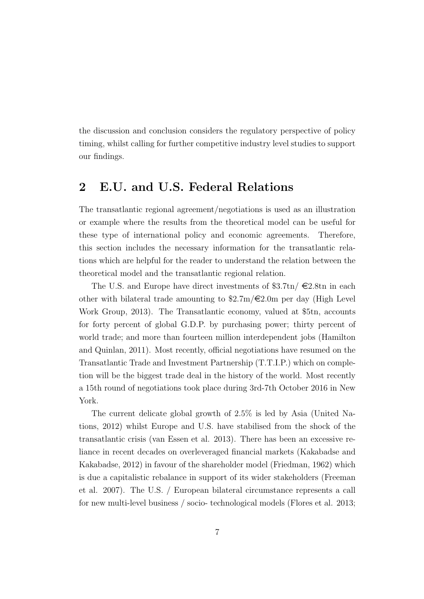the discussion and conclusion considers the regulatory perspective of policy timing, whilst calling for further competitive industry level studies to support our findings.

# 2 E.U. and U.S. Federal Relations

The transatlantic regional agreement/negotiations is used as an illustration or example where the results from the theoretical model can be useful for these type of international policy and economic agreements. Therefore, this section includes the necessary information for the transatlantic relations which are helpful for the reader to understand the relation between the theoretical model and the transatlantic regional relation.

The U.S. and Europe have direct investments of  $$3.7tn/ \epsilon 2.8tn$  in each other with bilateral trade amounting to  $2.7 \text{m}/\epsilon 2.0 \text{m}$  per day (High Level Work Group, 2013). The Transatlantic economy, valued at \$5tn, accounts for forty percent of global G.D.P. by purchasing power; thirty percent of world trade; and more than fourteen million interdependent jobs (Hamilton and Quinlan, 2011). Most recently, official negotiations have resumed on the Transatlantic Trade and Investment Partnership (T.T.I.P.) which on completion will be the biggest trade deal in the history of the world. Most recently a 15th round of negotiations took place during 3rd-7th October 2016 in New York.

The current delicate global growth of 2.5% is led by Asia (United Nations, 2012) whilst Europe and U.S. have stabilised from the shock of the transatlantic crisis (van Essen et al. 2013). There has been an excessive reliance in recent decades on overleveraged financial markets (Kakabadse and Kakabadse, 2012) in favour of the shareholder model (Friedman, 1962) which is due a capitalistic rebalance in support of its wider stakeholders (Freeman et al. 2007). The U.S. / European bilateral circumstance represents a call for new multi-level business / socio- technological models (Flores et al. 2013;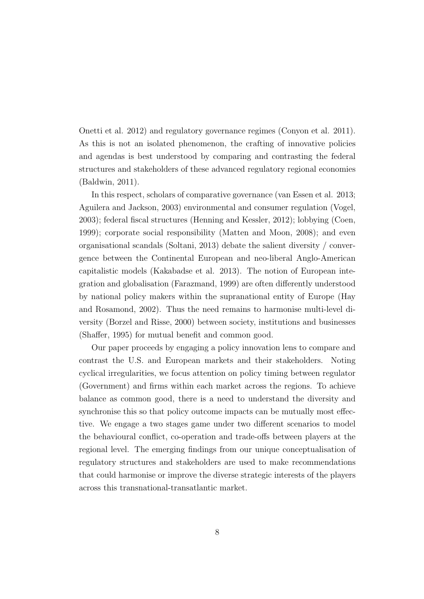Onetti et al. 2012) and regulatory governance regimes (Conyon et al. 2011). As this is not an isolated phenomenon, the crafting of innovative policies and agendas is best understood by comparing and contrasting the federal structures and stakeholders of these advanced regulatory regional economies (Baldwin, 2011).

In this respect, scholars of comparative governance (van Essen et al. 2013; Aguilera and Jackson, 2003) environmental and consumer regulation (Vogel, 2003); federal fiscal structures (Henning and Kessler, 2012); lobbying (Coen, 1999); corporate social responsibility (Matten and Moon, 2008); and even organisational scandals (Soltani, 2013) debate the salient diversity / convergence between the Continental European and neo-liberal Anglo-American capitalistic models (Kakabadse et al. 2013). The notion of European integration and globalisation (Farazmand, 1999) are often differently understood by national policy makers within the supranational entity of Europe (Hay and Rosamond, 2002). Thus the need remains to harmonise multi-level diversity (Borzel and Risse, 2000) between society, institutions and businesses (Shaffer, 1995) for mutual benefit and common good.

Our paper proceeds by engaging a policy innovation lens to compare and contrast the U.S. and European markets and their stakeholders. Noting cyclical irregularities, we focus attention on policy timing between regulator (Government) and firms within each market across the regions. To achieve balance as common good, there is a need to understand the diversity and synchronise this so that policy outcome impacts can be mutually most effective. We engage a two stages game under two different scenarios to model the behavioural conflict, co-operation and trade-offs between players at the regional level. The emerging findings from our unique conceptualisation of regulatory structures and stakeholders are used to make recommendations that could harmonise or improve the diverse strategic interests of the players across this transnational-transatlantic market.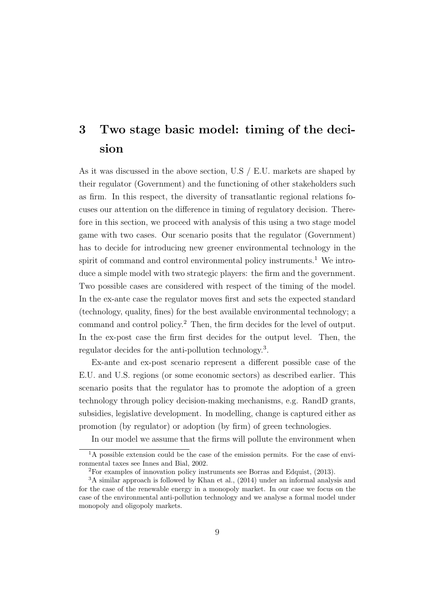# 3 Two stage basic model: timing of the decision

As it was discussed in the above section, U.S / E.U. markets are shaped by their regulator (Government) and the functioning of other stakeholders such as firm. In this respect, the diversity of transatlantic regional relations focuses our attention on the difference in timing of regulatory decision. Therefore in this section, we proceed with analysis of this using a two stage model game with two cases. Our scenario posits that the regulator (Government) has to decide for introducing new greener environmental technology in the spirit of command and control environmental policy instruments.<sup>1</sup> We introduce a simple model with two strategic players: the firm and the government. Two possible cases are considered with respect of the timing of the model. In the ex-ante case the regulator moves first and sets the expected standard (technology, quality, fines) for the best available environmental technology; a command and control policy.<sup>2</sup> Then, the firm decides for the level of output. In the ex-post case the firm first decides for the output level. Then, the regulator decides for the anti-pollution technology.<sup>3</sup>.

Ex-ante and ex-post scenario represent a different possible case of the E.U. and U.S. regions (or some economic sectors) as described earlier. This scenario posits that the regulator has to promote the adoption of a green technology through policy decision-making mechanisms, e.g. RandD grants, subsidies, legislative development. In modelling, change is captured either as promotion (by regulator) or adoption (by firm) of green technologies.

In our model we assume that the firms will pollute the environment when

<sup>&</sup>lt;sup>1</sup>A possible extension could be the case of the emission permits. For the case of environmental taxes see Innes and Bial, 2002.

<sup>2</sup>For examples of innovation policy instruments see Borras and Edquist, (2013).

<sup>3</sup>A similar approach is followed by Khan et al., (2014) under an informal analysis and for the case of the renewable energy in a monopoly market. In our case we focus on the case of the environmental anti-pollution technology and we analyse a formal model under monopoly and oligopoly markets.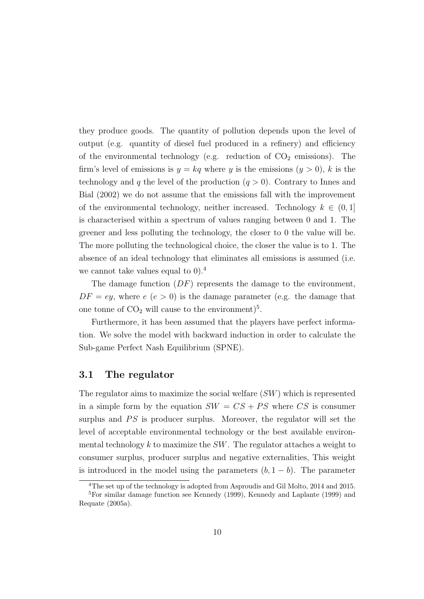they produce goods. The quantity of pollution depends upon the level of output (e.g. quantity of diesel fuel produced in a refinery) and efficiency of the environmental technology (e.g. reduction of  $CO<sub>2</sub>$  emissions). The firm's level of emissions is  $y = kq$  where y is the emissions  $(y > 0)$ , k is the technology and q the level of the production  $(q > 0)$ . Contrary to Innes and Bial (2002) we do not assume that the emissions fall with the improvement of the environmental technology, neither increased. Technology  $k \in (0,1]$ is characterised within a spectrum of values ranging between 0 and 1. The greener and less polluting the technology, the closer to 0 the value will be. The more polluting the technological choice, the closer the value is to 1. The absence of an ideal technology that eliminates all emissions is assumed (i.e. we cannot take values equal to  $0$ ).<sup>4</sup>

The damage function  $(DF)$  represents the damage to the environment,  $DF = ey$ , where  $e(e > 0)$  is the damage parameter (e.g. the damage that one tonne of  $CO<sub>2</sub>$  will cause to the environment)<sup>5</sup>.

Furthermore, it has been assumed that the players have perfect information. We solve the model with backward induction in order to calculate the Sub-game Perfect Nash Equilibrium (SPNE).

### 3.1 The regulator

The regulator aims to maximize the social welfare (SW) which is represented in a simple form by the equation  $SW = CS + PS$  where CS is consumer surplus and  $PS$  is producer surplus. Moreover, the regulator will set the level of acceptable environmental technology or the best available environmental technology k to maximize the  $SW$ . The regulator attaches a weight to consumer surplus, producer surplus and negative externalities, This weight is introduced in the model using the parameters  $(b, 1 - b)$ . The parameter

<sup>4</sup>The set up of the technology is adopted from Asproudis and Gil Molto, 2014 and 2015. <sup>5</sup>For similar damage function see Kennedy (1999), Kennedy and Laplante (1999) and

Requate (2005a).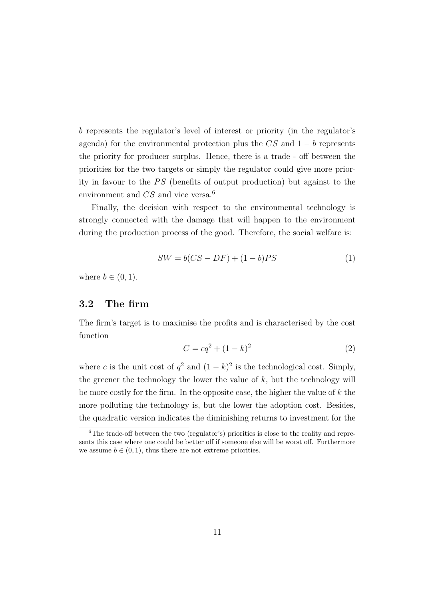b represents the regulator's level of interest or priority (in the regulator's agenda) for the environmental protection plus the  $CS$  and  $1 - b$  represents the priority for producer surplus. Hence, there is a trade - off between the priorities for the two targets or simply the regulator could give more priority in favour to the  $PS$  (benefits of output production) but against to the environment and  $CS$  and vice versa.<sup>6</sup>

Finally, the decision with respect to the environmental technology is strongly connected with the damage that will happen to the environment during the production process of the good. Therefore, the social welfare is:

$$
SW = b(CS - DF) + (1 - b)PS
$$
\n<sup>(1)</sup>

where  $b \in (0,1)$ .

### 3.2 The firm

The firm's target is to maximise the profits and is characterised by the cost function

$$
C = cq^2 + (1 - k)^2
$$
 (2)

where c is the unit cost of  $q^2$  and  $(1-k)^2$  is the technological cost. Simply, the greener the technology the lower the value of  $k$ , but the technology will be more costly for the firm. In the opposite case, the higher the value of k the more polluting the technology is, but the lower the adoption cost. Besides, the quadratic version indicates the diminishing returns to investment for the

 ${}^{6}$ The trade-off between the two (regulator's) priorities is close to the reality and represents this case where one could be better off if someone else will be worst off. Furthermore we assume  $b \in (0, 1)$ , thus there are not extreme priorities.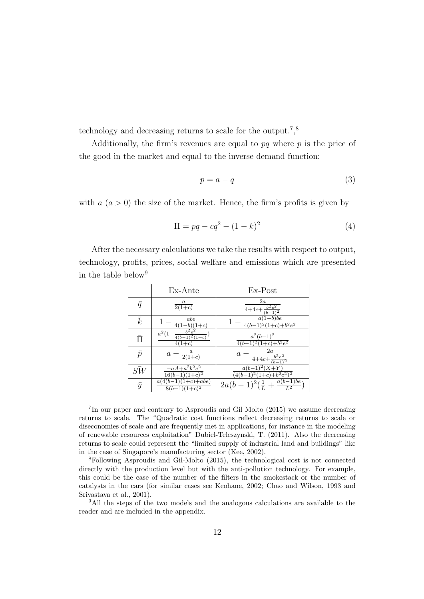technology and decreasing returns to scale for the output.<sup>7</sup>,<sup>8</sup>

Additionally, the firm's revenues are equal to  $pq$  where p is the price of the good in the market and equal to the inverse demand function:

$$
p = a - q \tag{3}
$$

with  $a(a > 0)$  the size of the market. Hence, the firm's profits is given by

$$
\Pi = pq - cq^2 - (1 - k)^2 \tag{4}
$$

After the necessary calculations we take the results with respect to output, technology, profits, prices, social welfare and emissions which are presented in the table below<sup>9</sup>

|           | Ex-Ante                                                          | Ex-Post                                                      |
|-----------|------------------------------------------------------------------|--------------------------------------------------------------|
| $\bar{q}$ | $\frac{a}{2(1+c)}$                                               | 2a<br>$\frac{b^2e^2}{4+4c+\frac{b^2e^2}{(b-1)^2}}$           |
| $\bar{k}$ | abe<br>$\frac{1}{4(1-b)(1+c)}$                                   | $\overline{a(1-b)}be$<br>$\frac{1}{4(b-1)^2(1+c)+b^2e^2}$    |
| Ū         | $\frac{b^2e^2}{a^2(1-\frac{b^2e^2}{4(b-1)^2(1+c)})}$<br>$4(1+c)$ | $a^2(b-1)^2$<br>$\frac{4(b-1)^2(1+c)+b^2e^2}{4(b-1)^2(c+1)}$ |
| $\bar{p}$ | $a - \frac{a}{2(1+c)}$                                           | $\frac{2a}{4+4c+\frac{b^2e^2}{(b-1)^2}}$<br>$\it a$          |
| SW        | $-aA+a^2b^2e^2$<br>$\frac{16(b-1)(1+c)^2}{2}$                    | $\overline{a(b-1)^2(X+Y)}$<br>$(4(b-1)^2(1+c)+b^2e^2)^2$     |
| $\bar{y}$ | $a(4(b-1)(1+c)+abe)$<br>$8(b-1)(1+c)^2$                          | $2a(b-1)^2(\frac{1}{L}+\frac{a(b-1)be}{L^2})$                |

<sup>&</sup>lt;sup>7</sup>In our paper and contrary to Asproudis and Gil Molto (2015) we assume decreasing returns to scale. The "Quadratic cost functions reflect decreasing returns to scale or diseconomies of scale and are frequently met in applications, for instance in the modeling of renewable resources exploitation" Dubiel-Teleszynski, T. (2011). Also the decreasing returns to scale could represent the "limited supply of industrial land and buildings" like in the case of Singapore's manufacturing sector (Kee, 2002).

<sup>8</sup>Following Asproudis and Gil-Molto (2015), the technological cost is not connected directly with the production level but with the anti-pollution technology. For example, this could be the case of the number of the filters in the smokestack or the number of catalysts in the cars (for similar cases see Keohane, 2002; Chao and Wilson, 1993 and Srivastava et al., 2001).

<sup>&</sup>lt;sup>9</sup>All the steps of the two models and the analogous calculations are available to the reader and are included in the appendix.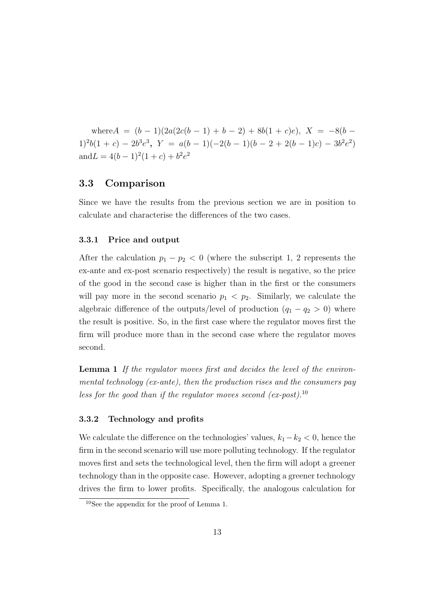where  $A = (b - 1)(2a(2c(b - 1) + b - 2) + 8b(1 + c)e)$ ,  $X = -8(b - 1)$  $1)^2b(1+c) - 2b^3e^3$ ,  $Y = a(b-1)(-2(b-1)(b-2+2(b-1)c) - 3b^2e^2)$ and  $L = 4(b-1)^2(1+c) + b^2e^2$ 

# 3.3 Comparison

Since we have the results from the previous section we are in position to calculate and characterise the differences of the two cases.

#### 3.3.1 Price and output

After the calculation  $p_1 - p_2 < 0$  (where the subscript 1, 2 represents the ex-ante and ex-post scenario respectively) the result is negative, so the price of the good in the second case is higher than in the first or the consumers will pay more in the second scenario  $p_1 < p_2$ . Similarly, we calculate the algebraic difference of the outputs/level of production  $(q_1 - q_2 > 0)$  where the result is positive. So, in the first case where the regulator moves first the firm will produce more than in the second case where the regulator moves second.

**Lemma 1** If the regulator moves first and decides the level of the environmental technology (ex-ante), then the production rises and the consumers pay less for the good than if the regulator moves second  $(ex\text{-}post).$ <sup>10</sup>

### 3.3.2 Technology and profits

We calculate the difference on the technologies' values,  $k_1-k_2 < 0$ , hence the firm in the second scenario will use more polluting technology. If the regulator moves first and sets the technological level, then the firm will adopt a greener technology than in the opposite case. However, adopting a greener technology drives the firm to lower profits. Specifically, the analogous calculation for

 $10$ See the appendix for the proof of Lemma 1.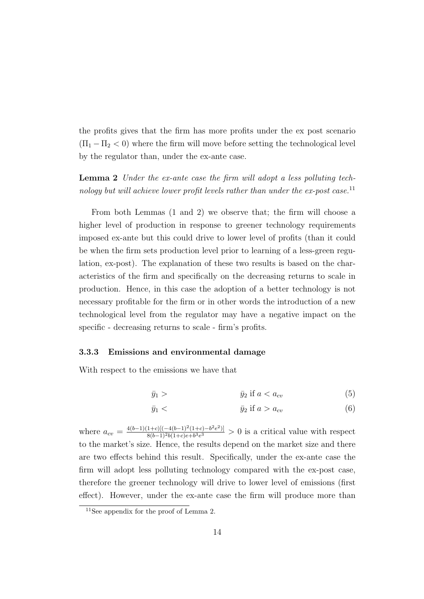the profits gives that the firm has more profits under the ex post scenario  $(\Pi_1 - \Pi_2 < 0)$  where the firm will move before setting the technological level by the regulator than, under the ex-ante case.

Lemma 2 Under the ex-ante case the firm will adopt a less polluting technology but will achieve lower profit levels rather than under the ex-post case.<sup>11</sup>

From both Lemmas (1 and 2) we observe that; the firm will choose a higher level of production in response to greener technology requirements imposed ex-ante but this could drive to lower level of profits (than it could be when the firm sets production level prior to learning of a less-green regulation, ex-post). The explanation of these two results is based on the characteristics of the firm and specifically on the decreasing returns to scale in production. Hence, in this case the adoption of a better technology is not necessary profitable for the firm or in other words the introduction of a new technological level from the regulator may have a negative impact on the specific - decreasing returns to scale - firm's profits.

### 3.3.3 Emissions and environmental damage

With respect to the emissions we have that

$$
\bar{y}_1 > \qquad \qquad \bar{y}_2 \text{ if } a < a_{cv} \tag{5}
$$

$$
\bar{y}_1 < \qquad \qquad \bar{y}_2 \text{ if } a > a_{cv} \tag{6}
$$

where  $a_{cv} = \frac{4(b-1)(1+c)[(-4(b-1)^2(1+c)-b^2e^2)]}{8(b-1)^2b(1+c)e+b^3e^3}$  $\frac{1+c}{(8(b-1)^2(b(1+c)-b^2e^2))}{(b-1)^2b(1+c)e+b^3e^3} > 0$  is a critical value with respect to the market's size. Hence, the results depend on the market size and there are two effects behind this result. Specifically, under the ex-ante case the firm will adopt less polluting technology compared with the ex-post case, therefore the greener technology will drive to lower level of emissions (first effect). However, under the ex-ante case the firm will produce more than

<sup>11</sup>See appendix for the proof of Lemma 2.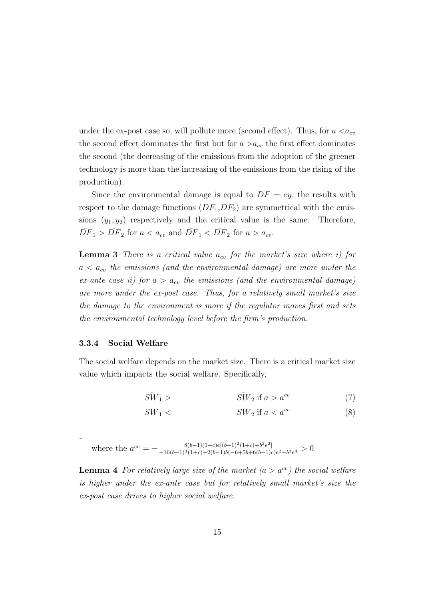under the ex-post case so, will pollute more (second effect). Thus, for  $a < a_{cv}$ the second effect dominates the first but for  $a > a_{cv}$  the first effect dominates the second (the decreasing of the emissions from the adoption of the greener technology is more than the increasing of the emissions from the rising of the production).

Since the environmental damage is equal to  $DF = ey$ , the results with respect to the damage functions  $(DF_1, DF_2)$  are symmetrical with the emissions  $(y_1, y_2)$  respectively and the critical value is the same. Therefore,  $\overline{DF}_1 > \overline{DF}_2$  for  $a < a_{cv}$  and  $\overline{DF}_1 < \overline{DF}_2$  for  $a > a_{cv}$ .

**Lemma 3** There is a critical value  $a_{cv}$  for the market's size where i) for  $a < a_{cv}$  the emissions (and the environmental damage) are more under the ex-ante case ii) for  $a > a_{cv}$  the emissions (and the environmental damage) are more under the ex-post case. Thus, for a relatively small market's size the damage to the environment is more if the regulator moves first and sets the environmental technology level before the firm's production.

### 3.3.4 Social Welfare

The social welfare depends on the market size. There is a critical market size value which impacts the social welfare. Specifically,

$$
S\bar{W}_1 > \qquad \qquad S\bar{W}_2 \text{ if } a > a^{cv} \tag{7}
$$

$$
S\bar{W}_1 < \qquad \qquad S\bar{W}_2 \text{ if } a < a^{cv} \tag{8}
$$

where the  $a^{cv} = -\frac{8(b-1)(1+c)e[(b-1)^2(1+c)+b^2e^2]}{-16(b-1)^3(1+c)+2(b-1)b(-6+5b+6(b-1))}$  $\frac{8(b-1)(1+c)e[(b-1)^2(1+c)+b^2e^2]}{-16(b-1)^3(1+c)+2(b-1)b(-6+5b+6(b-1)c)e^2+b^3e^4} > 0.$ 

**Lemma 4** For relatively large size of the market  $(a > a^{cv})$  the social welfare is higher under the ex-ante case but for relatively small market's size the ex-post case drives to higher social welfare.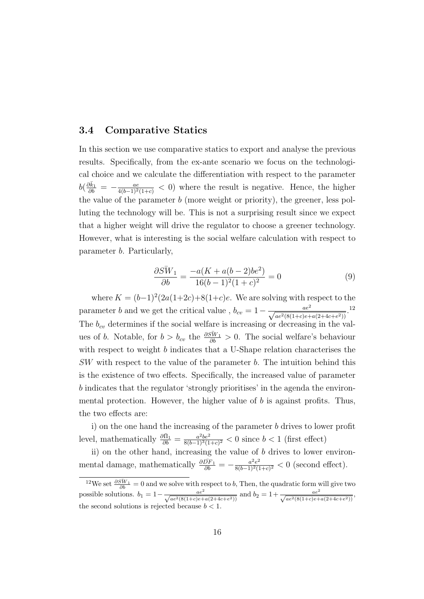### 3.4 Comparative Statics

In this section we use comparative statics to export and analyse the previous results. Specifically, from the ex-ante scenario we focus on the technological choice and we calculate the differentiation with respect to the parameter  $b(\frac{\partial \bar{k}_1}{\partial b} = -\frac{ae}{4(b-1)^2(1+c)} < 0)$  where the result is negative. Hence, the higher the value of the parameter  $b$  (more weight or priority), the greener, less polluting the technology will be. This is not a surprising result since we expect that a higher weight will drive the regulator to choose a greener technology. However, what is interesting is the social welfare calculation with respect to parameter b. Particularly,

$$
\frac{\partial S\bar{W}_1}{\partial b} = \frac{-a(K + a(b - 2)be^2)}{16(b - 1)^2(1 + c)^2} = 0
$$
\n(9)

where  $K = (b-1)^2(2a(1+2c)+8(1+c)e)$ . We are solving with respect to the parameter b and we get the critical value,  $b_{cv} = 1 - \frac{ae^2}{\sqrt{ae^2(8(1+c)e+a(2+4c+e^2))}}$ .<sup>12</sup> The  $b_{cv}$  determines if the social welfare is increasing or decreasing in the values of b. Notable, for  $b > b_{cv}$  the  $\frac{\partial s\bar{W}_1}{\partial b} > 0$ . The social welfare's behaviour with respect to weight b indicates that a U-Shape relation characterises the  $SW$  with respect to the value of the parameter b. The intuition behind this is the existence of two effects. Specifically, the increased value of parameter b indicates that the regulator 'strongly prioritises' in the agenda the environmental protection. However, the higher value of  $b$  is against profits. Thus, the two effects are:

i) on the one hand the increasing of the parameter b drives to lower profit level, mathematically  $\frac{\partial \bar{\Pi}_1}{\partial b} = \frac{a^2be^2}{8(b-1)^3(1)}$  $\frac{a^2be^2}{8(b-1)^3(1+c)^2}$  < 0 since  $b < 1$  (first effect)

ii) on the other hand, increasing the value of b drives to lower environmental damage, mathematically  $\frac{\partial \bar{DF}_1}{\partial b} = -\frac{a^2 e^2}{8(b-1)^2(1)}$  $\frac{a^2e^2}{8(b-1)^2(1+c)^2}$  < 0 (second effect).

<sup>&</sup>lt;sup>12</sup>We set  $\frac{\partial \overline{S}W_1}{\partial b} = 0$  and we solve with respect to b, Then, the quadratic form will give two possible solutions.  $b_1 = 1 - \frac{ae^2}{\sqrt{ae^2(8(1+c)e+a(2+4c+e^2))}}$  and  $b_2 = 1 + \frac{ae^2}{\sqrt{ae^2(8(1+c)e+a(2+4c+e^2))}}$ , the second solutions is rejected because  $b < 1$ .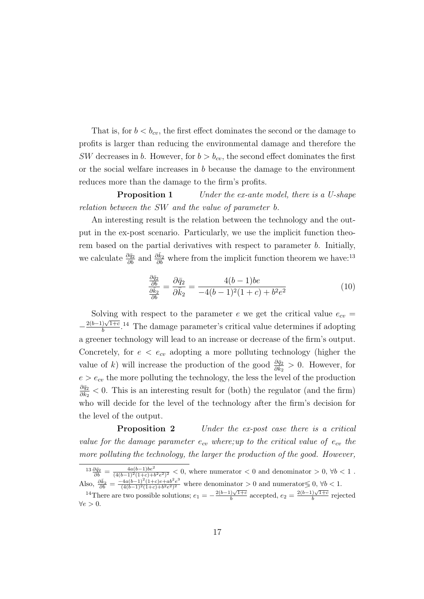That is, for  $b < b_{cv}$ , the first effect dominates the second or the damage to profits is larger than reducing the environmental damage and therefore the SW decreases in b. However, for  $b > b_{cv}$ , the second effect dominates the first or the social welfare increases in b because the damage to the environment reduces more than the damage to the firm's profits.

**Proposition 1** Under the ex-ante model, there is a U-shape relation between the SW and the value of parameter b.

An interesting result is the relation between the technology and the output in the ex-post scenario. Particularly, we use the implicit function theorem based on the partial derivatives with respect to parameter b. Initially, we calculate  $\frac{\partial \bar{q}_2}{\partial b}$  and  $\frac{\partial \bar{k}_2}{\partial b}$  where from the implicit function theorem we have:<sup>13</sup>

$$
\frac{\frac{\partial \bar{q}_2}{\partial b}}{\frac{\partial \bar{k}_2}{\partial b}} = \frac{\partial \bar{q}_2}{\partial \bar{k}_2} = \frac{4(b-1)be}{-4(b-1)^2(1+c) + b^2e^2}
$$
(10)

Solving with respect to the parameter e we get the critical value  $e_{cv}$  =  $-\frac{2(b-1)\sqrt{1+c}}{b}$  $\frac{\partial \mathcal{N}^{1+c}}{\partial b}$ .<sup>14</sup> The damage parameter's critical value determines if adopting a greener technology will lead to an increase or decrease of the firm's output. Concretely, for  $e < e_{cv}$  adopting a more polluting technology (higher the value of k) will increase the production of the good  $\frac{\partial \bar{q}_2}{\partial k_2} > 0$ . However, for  $e > e_{cv}$  the more polluting the technology, the less the level of the production  $\frac{\partial \bar{q}_2}{\partial k_2}$  < 0. This is an interesting result for (both) the regulator (and the firm) who will decide for the level of the technology after the firm's decision for the level of the output.

**Proposition 2** Under the ex-post case there is a critical value for the damage parameter  $e_{cv}$  where; up to the critical value of  $e_{cv}$  the more polluting the technology, the larger the production of the good. However,

 $\frac{13 \partial \bar{q}_2}{\partial b} = \frac{4a(b-1)be^2}{(4(b-1)^2(1+c)+b^2)}$  $\frac{4a(b-1)bc}{(4(b-1)^2(1+c)+b^2e^2)^2}$  < 0, where numerator < 0 and denominator > 0,  $\forall b < 1$ . Also,  $\frac{\partial \bar{k}_2}{\partial b} = \frac{-4a(b-1)^2(1+c)e+ab^2e^3}{(4(b-1)^2(1+c)+b^2e^2)^2}$  $\frac{(4a(b-1)^2(1+c)e+ab^2e^3)}{(4(b-1)^2(1+c)+b^2e^2)^2}$  where denominator > 0 and numerator ≤ 0,  $\forall b < 1$ .

<sup>&</sup>lt;sup>14</sup>There are two possible solutions;  $e_1 = -\frac{2(b-1)\sqrt{1+c}}{b}$  $\frac{b}{b}$  accepted,  $e_2 = \frac{2(b-1)\sqrt{1+c}}{b}$  $\frac{b}{b}$  rejected  $∀e > 0.$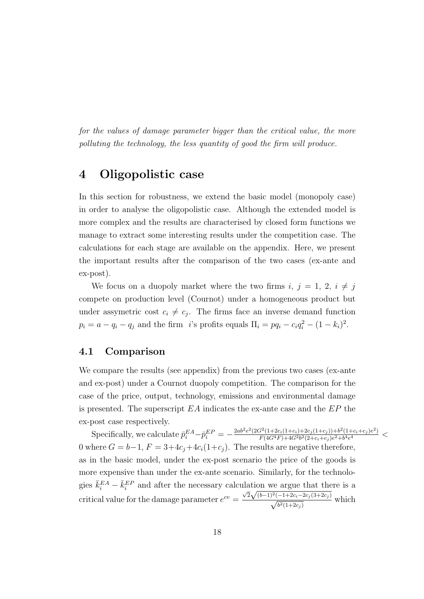for the values of damage parameter bigger than the critical value, the more polluting the technology, the less quantity of good the firm will produce.

# 4 Oligopolistic case

In this section for robustness, we extend the basic model (monopoly case) in order to analyse the oligopolistic case. Although the extended model is more complex and the results are characterised by closed form functions we manage to extract some interesting results under the competition case. The calculations for each stage are available on the appendix. Here, we present the important results after the comparison of the two cases (ex-ante and ex-post).

We focus on a duopoly market where the two firms  $i, j = 1, 2, i \neq j$ compete on production level (Cournot) under a homogeneous product but under assymetric cost  $c_i \neq c_j$ . The firms face an inverse demand function  $p_i = a - q_i - q_j$  and the firm *i*'s profits equals  $\Pi_i = pq_i - c_iq_i^2 - (1 - k_i)^2$ .

### 4.1 Comparison

We compare the results (see appendix) from the previous two cases (ex-ante and ex-post) under a Cournot duopoly competition. The comparison for the case of the price, output, technology, emissions and environmental damage is presented. The superscript  $EA$  indicates the ex-ante case and the  $EP$  the ex-post case respectively.

Specifically, we calculate  $\bar{p}_i^{EA} - \bar{p}_i^{EP} = -\frac{2ab^2e^2(2G^2(1+2c_i(1+c_i)+2c_j(1+c_j))+b^2(1+c_i+c_j)e^2)}{F(4G^4F)+4G^2b^2(2+c_i+c_i)e^2+b^4e^4}$  $\frac{F^{-}(1+2c_i(1+c_i)+2c_j(1+c_j))+b^{\bullet}(1+c_i+c_j)e^{\bullet})}{F(4G^4F)+4G^2b^2(2+c_i+c_j)e^2+b^4e^4} <$ 0 where  $G = b-1$ ,  $F = 3+4c<sub>i</sub>+4c<sub>i</sub>(1+c<sub>i</sub>)$ . The results are negative therefore, as in the basic model, under the ex-post scenario the price of the goods is more expensive than under the ex-ante scenario. Similarly, for the technologies  $\bar{k}_i^{EA} - \bar{k}_i^{EP}$  and after the necessary calculation we argue that there is a critical value for the damage parameter  $e^{cv} =$  $\frac{\sqrt{2}\sqrt{(b-1)^2(-1+2c_i-2c_j(3+2c_j)}}{\sqrt{b^2(1+2c_j)}}$  which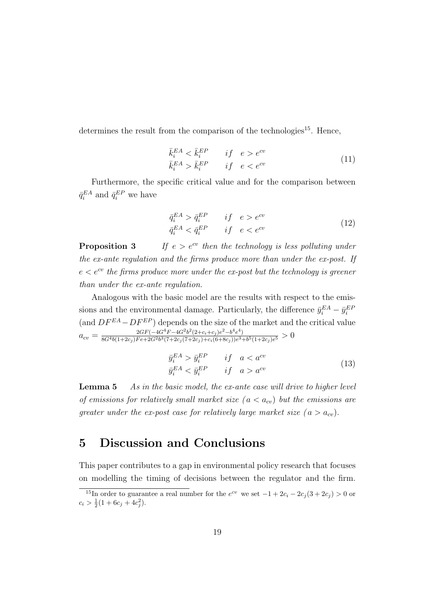determines the result from the comparison of the technologies<sup>15</sup>. Hence,

$$
\bar{k}_i^{EA} < \bar{k}_i^{EP} \qquad if \quad e > e^{cv} \\
\bar{k}_i^{EA} > \bar{k}_i^{EP} \qquad if \quad e < e^{cv} \tag{11}
$$

Furthermore, the specific critical value and for the comparison between  $\bar{q}_i^{EA}$  and  $\bar{q}_i^{EP}$  we have

$$
\begin{aligned}\n\bar{q}_i^{EA} &> \bar{q}_i^{EP} & if & e > e^{cv} \\
\bar{q}_i^{EA} &< \bar{q}_i^{EP} & if & e < e^{cv}\n\end{aligned} \tag{12}
$$

(13)

**Proposition 3** If  $e > e^{cv}$  then the technology is less polluting under the ex-ante regulation and the firms produce more than under the ex-post. If  $e < e^{cv}$  the firms produce more under the ex-post but the technology is greener than under the ex-ante regulation.

Analogous with the basic model are the results with respect to the emissions and the environmental damage. Particularly, the difference  $\bar{y}_i^{EA} - \bar{y}_i^{EF}$ (and  $DF^{EA} - DF^{EP}$ ) depends on the size of the market and the critical value  $a_{cv} = \frac{2GF(-4G^4F - 4G^2b^2(2+c_i+c_j)e^2-b^4e^4)}{8G^4b(1+2c_i)Fe + 2G^2b^3(7+2c_i)(7+2c_i)+c_i(6+8c_i)e^3}$  $\frac{2 Gr\left(-4 G^2 F - 4 G^2 b^2 (2 + c_i + c_j)e^2 - 0^2 e^2\right)}{8 G^4 b (1 + 2 c_j) F e + 2 G^2 b^3 (7 + 2 c_j (7 + 2 c_j) + c_i (6 + 8 c_j))e^3 + b^5 (1 + 2 c_j)e^5} > 0$  $\bar{y}_i^{EA} > \bar{y}_i^{EP}$  if  $a < a^{cv}$ 

$$
\bar{y}_i^{EA} < \bar{y}_i^{EP} \qquad if \quad a > a^{cv}
$$
\nLemma 5 \n As in the basic model, the ex-ante case will drive to higher level of emissions for relatively small market size (a < a) but the emissions are

of emissions for relatively small market size  $(a < a_{cv})$  but the emissions are greater under the ex-post case for relatively large market size  $(a > a_{cv})$ .

# 5 Discussion and Conclusions

This paper contributes to a gap in environmental policy research that focuses on modelling the timing of decisions between the regulator and the firm.

<sup>&</sup>lt;sup>15</sup>In order to guarantee a real number for the  $e^{cv}$  we set  $-1+2c_i-2c_j(3+2c_j) > 0$  or  $c_i > \frac{1}{2}(1 + 6c_j + 4c_j^2).$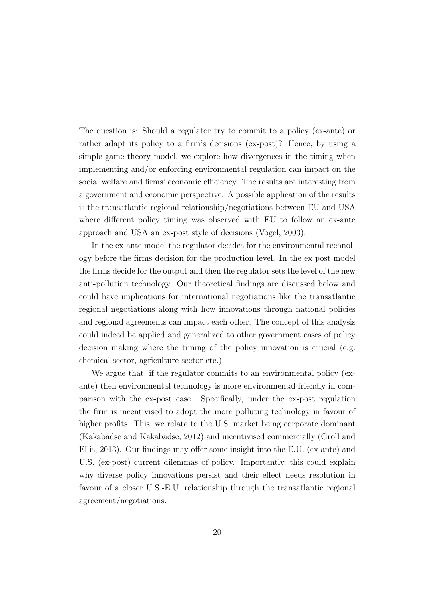The question is: Should a regulator try to commit to a policy (ex-ante) or rather adapt its policy to a firm's decisions (ex-post)? Hence, by using a simple game theory model, we explore how divergences in the timing when implementing and/or enforcing environmental regulation can impact on the social welfare and firms' economic efficiency. The results are interesting from a government and economic perspective. A possible application of the results is the transatlantic regional relationship/negotiations between EU and USA where different policy timing was observed with EU to follow an ex-ante approach and USA an ex-post style of decisions (Vogel, 2003).

In the ex-ante model the regulator decides for the environmental technology before the firms decision for the production level. In the ex post model the firms decide for the output and then the regulator sets the level of the new anti-pollution technology. Our theoretical findings are discussed below and could have implications for international negotiations like the transatlantic regional negotiations along with how innovations through national policies and regional agreements can impact each other. The concept of this analysis could indeed be applied and generalized to other government cases of policy decision making where the timing of the policy innovation is crucial (e.g. chemical sector, agriculture sector etc.).

We argue that, if the regulator commits to an environmental policy (exante) then environmental technology is more environmental friendly in comparison with the ex-post case. Specifically, under the ex-post regulation the firm is incentivised to adopt the more polluting technology in favour of higher profits. This, we relate to the U.S. market being corporate dominant (Kakabadse and Kakabadse, 2012) and incentivised commercially (Groll and Ellis, 2013). Our findings may offer some insight into the E.U. (ex-ante) and U.S. (ex-post) current dilemmas of policy. Importantly, this could explain why diverse policy innovations persist and their effect needs resolution in favour of a closer U.S.-E.U. relationship through the transatlantic regional agreement/negotiations.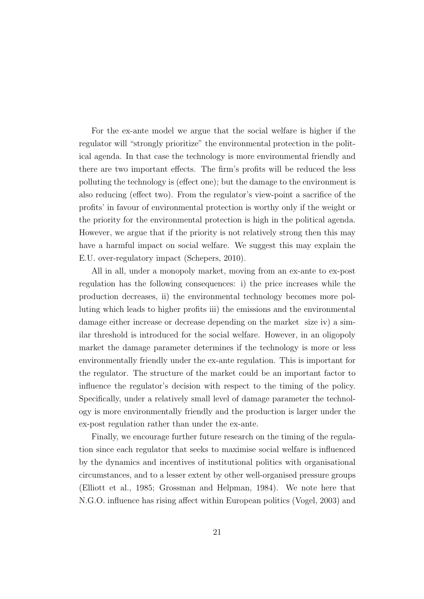For the ex-ante model we argue that the social welfare is higher if the regulator will "strongly prioritize" the environmental protection in the political agenda. In that case the technology is more environmental friendly and there are two important effects. The firm's profits will be reduced the less polluting the technology is (effect one); but the damage to the environment is also reducing (effect two). From the regulator's view-point a sacrifice of the profits' in favour of environmental protection is worthy only if the weight or the priority for the environmental protection is high in the political agenda. However, we argue that if the priority is not relatively strong then this may have a harmful impact on social welfare. We suggest this may explain the E.U. over-regulatory impact (Schepers, 2010).

All in all, under a monopoly market, moving from an ex-ante to ex-post regulation has the following consequences: i) the price increases while the production decreases, ii) the environmental technology becomes more polluting which leads to higher profits iii) the emissions and the environmental damage either increase or decrease depending on the market size iv) a similar threshold is introduced for the social welfare. However, in an oligopoly market the damage parameter determines if the technology is more or less environmentally friendly under the ex-ante regulation. This is important for the regulator. The structure of the market could be an important factor to influence the regulator's decision with respect to the timing of the policy. Specifically, under a relatively small level of damage parameter the technology is more environmentally friendly and the production is larger under the ex-post regulation rather than under the ex-ante.

Finally, we encourage further future research on the timing of the regulation since each regulator that seeks to maximise social welfare is influenced by the dynamics and incentives of institutional politics with organisational circumstances, and to a lesser extent by other well-organised pressure groups (Elliott et al., 1985; Grossman and Helpman, 1984). We note here that N.G.O. influence has rising affect within European politics (Vogel, 2003) and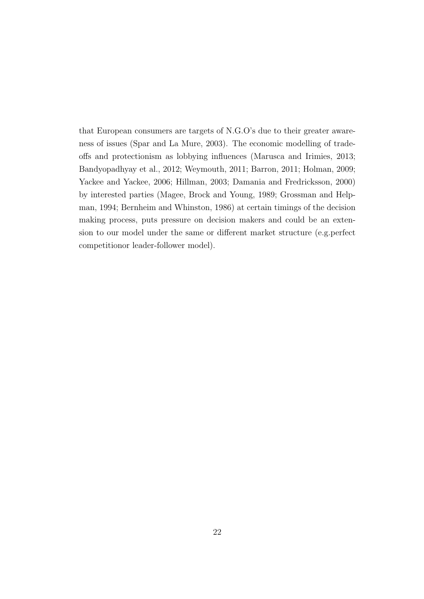that European consumers are targets of N.G.O's due to their greater awareness of issues (Spar and La Mure, 2003). The economic modelling of tradeoffs and protectionism as lobbying influences (Marusca and Irimies, 2013; Bandyopadhyay et al., 2012; Weymouth, 2011; Barron, 2011; Holman, 2009; Yackee and Yackee, 2006; Hillman, 2003; Damania and Fredricksson, 2000) by interested parties (Magee, Brock and Young, 1989; Grossman and Helpman, 1994; Bernheim and Whinston, 1986) at certain timings of the decision making process, puts pressure on decision makers and could be an extension to our model under the same or different market structure (e.g.perfect competitionor leader-follower model).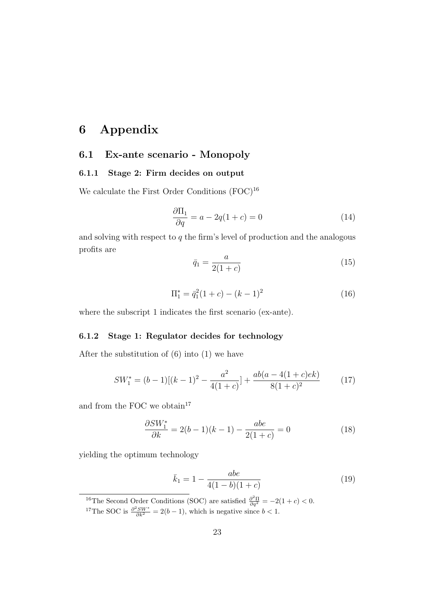# 6 Appendix

# 6.1 Ex-ante scenario - Monopoly

### 6.1.1 Stage 2: Firm decides on output

We calculate the First Order Conditions  ${\rm (FOC)^{16}}$ 

$$
\frac{\partial \Pi_1}{\partial q} = a - 2q(1+c) = 0\tag{14}
$$

and solving with respect to  $q$  the firm's level of production and the analogous profits are

$$
\bar{q}_1 = \frac{a}{2(1+c)}\tag{15}
$$

$$
\Pi_1^* = \bar{q}_1^2 (1+c) - (k-1)^2 \tag{16}
$$

where the subscript 1 indicates the first scenario (ex-ante).

### 6.1.2 Stage 1: Regulator decides for technology

After the substitution of (6) into (1) we have

$$
SW_1^* = (b-1)[(k-1)^2 - \frac{a^2}{4(1+c)}] + \frac{ab(a-4(1+c)ek)}{8(1+c)^2}
$$
(17)

and from the FOC we obtain  $17$ 

$$
\frac{\partial SW_1^*}{\partial k} = 2(b-1)(k-1) - \frac{abe}{2(1+c)} = 0 \tag{18}
$$

yielding the optimum technology

$$
\bar{k}_1 = 1 - \frac{abe}{4(1-b)(1+c)}\tag{19}
$$

<sup>16</sup>The Second Order Conditions (SOC) are satisfied  $\frac{\partial^2 \Pi}{\partial q^2} = -2(1+c) < 0$ . <sup>17</sup>The SOC is  $\frac{\partial^2 SW^*}{\partial k^2} = 2(b-1)$ , which is negative since  $b < 1$ .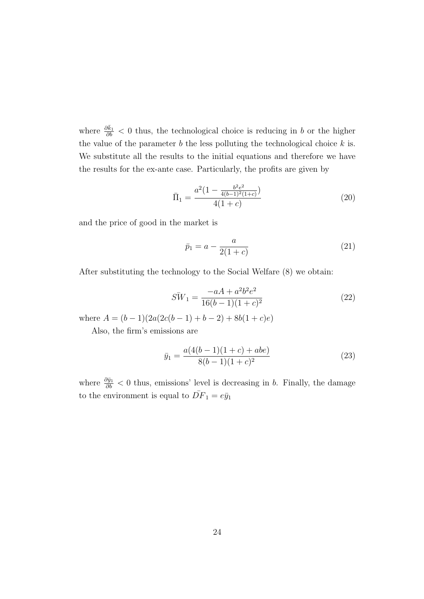where  $\frac{\partial \bar{k}_1}{\partial b}$  < 0 thus, the technological choice is reducing in b or the higher the value of the parameter  $b$  the less polluting the technological choice  $k$  is. We substitute all the results to the initial equations and therefore we have the results for the ex-ante case. Particularly, the profits are given by

$$
\bar{\Pi}_1 = \frac{a^2(1 - \frac{b^2e^2}{4(b-1)^2(1+c)})}{4(1+c)}
$$
\n(20)

and the price of good in the market is

$$
\bar{p}_1 = a - \frac{a}{2(1+c)}\tag{21}
$$

After substituting the technology to the Social Welfare (8) we obtain:

$$
S\bar{W}_1 = \frac{-aA + a^2b^2e^2}{16(b-1)(1+c)^2}
$$
\n(22)

where  $A = (b-1)(2a(2c(b-1) + b - 2) + 8b(1+c)e)$ 

Also, the firm's emissions are

$$
\bar{y}_1 = \frac{a(4(b-1)(1+c) + abc)}{8(b-1)(1+c)^2} \tag{23}
$$

where  $\frac{\partial \bar{y}_1}{\partial b}$  < 0 thus, emissions' level is decreasing in b. Finally, the damage to the environment is equal to  $\overline{DF}_1 = e\overline{y}_1$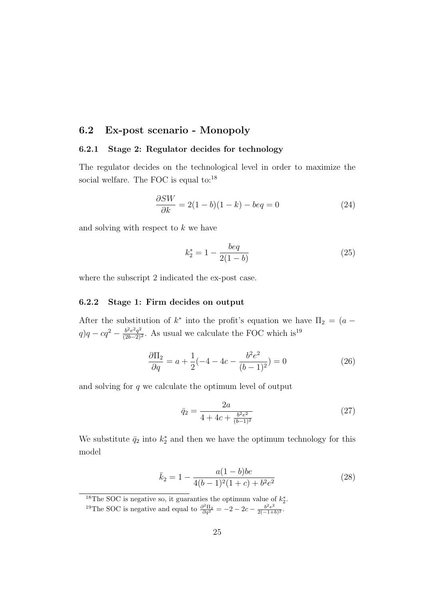### 6.2 Ex-post scenario - Monopoly

#### 6.2.1 Stage 2: Regulator decides for technology

The regulator decides on the technological level in order to maximize the social welfare. The FOC is equal to:<sup>18</sup>

$$
\frac{\partial SW}{\partial k} = 2(1 - b)(1 - k) - beq = 0 \tag{24}
$$

and solving with respect to  $k$  we have

$$
k_2^* = 1 - \frac{beq}{2(1-b)}
$$
 (25)

where the subscript 2 indicated the ex-post case.

#### 6.2.2 Stage 1: Firm decides on output

After the substitution of  $k^*$  into the profit's equation we have  $\Pi_2 = (a$  $q)q - cq^2 - \frac{b^2 e^2 q^2}{(2b-2)}$  $\frac{b^2e^2q^2}{(2b-2)^2}$ . As usual we calculate the FOC which is<sup>19</sup>

$$
\frac{\partial \Pi_2}{\partial q} = a + \frac{1}{2}(-4 - 4c - \frac{b^2 e^2}{(b-1)^2}) = 0
$$
\n(26)

and solving for  $q$  we calculate the optimum level of output

$$
\bar{q}_2 = \frac{2a}{4 + 4c + \frac{b^2 e^2}{(b-1)^2}}
$$
\n(27)

We substitute  $\bar{q}_2$  into  $k_2^*$  and then we have the optimum technology for this model

$$
\bar{k}_2 = 1 - \frac{a(1-b)be}{4(b-1)^2(1+c) + b^2e^2}
$$
\n(28)

<sup>18</sup>The SOC is negative so, it guaranties the optimum value of  $k_2^*$ . <sup>19</sup>The SOC is negative and equal to  $\frac{\partial^2 \Pi_2}{\partial q^2} = -2 - 2c - \frac{b^2 e^2}{2(-1)^2}$  $rac{b^2e^2}{2(-1+b)^2}$ .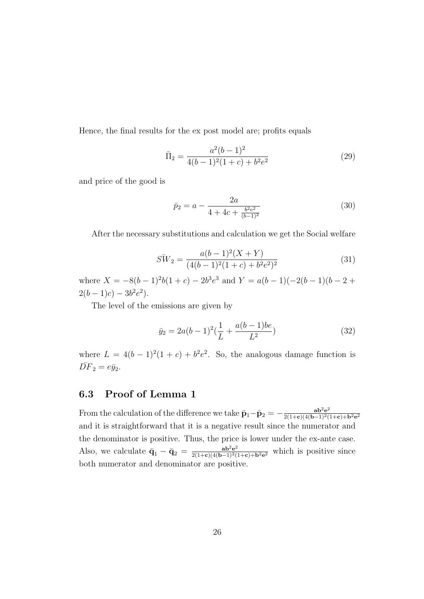Hence, the final results for the ex post model are; profits equals

$$
\bar{\Pi}_2 = \frac{a^2(b-1)^2}{4(b-1)^2(1+c) + b^2e^2}
$$
\n(29)

and price of the good is

$$
\bar{p}_2 = a - \frac{2a}{4 + 4c + \frac{b^2 e^2}{(b-1)^2}}
$$
\n(30)

After the necessary substitutions and calculation we get the Social welfare

$$
S\bar{W}_2 = \frac{a(b-1)^2(X+Y)}{(4(b-1)^2(1+c)+b^2e^2)^2}
$$
\n(31)

where  $X = -8(b-1)^2b(1+c) - 2b^3e^3$  and  $Y = a(b-1)(-2(b-1)(b-2+1))$  $2(b-1)c - 3b^2e^2$ .

The level of the emissions are given by

$$
\bar{y}_2 = 2a(b-1)^2 \left(\frac{1}{L} + \frac{a(b-1)be}{L^2}\right) \tag{32}
$$

where  $L = 4(b-1)^2(1+c) + b^2e^2$ . So, the analogous damage function is  $\bar{DF}_2 = e\bar{y}_2.$ 

# 6.3 Proof of Lemma 1

From the calculation of the difference we take  $\bar{\mathbf{p}}_1 - \bar{\mathbf{p}}_2 = -\frac{\mathbf{a}\mathbf{b}^2\mathbf{e}^2}{2(1+\mathbf{c})(4(\mathbf{b}-1))^2}$  $\frac{2(1+c)(4(b-1)^2(1+c)+b^2e^2}{2c^2}$ and it is straightforward that it is a negative result since the numerator and the denominator is positive. Thus, the price is lower under the ex-ante case. Also, we calculate  $\bar{\mathbf{q}}_1 - \bar{\mathbf{q}}_2 = \frac{\mathbf{a} \mathbf{b}^2 \mathbf{e}^2}{2(1+\mathbf{c})(4(\mathbf{b}-1))^2}$  $\frac{\mathbf{a} \mathbf{b}^2 \mathbf{e}^2}{2(1+\mathbf{c})(4(\mathbf{b}-1)^2(1+\mathbf{c})+\mathbf{b}^2\mathbf{e}^2}$  which is positive since both numerator and denominator are positive.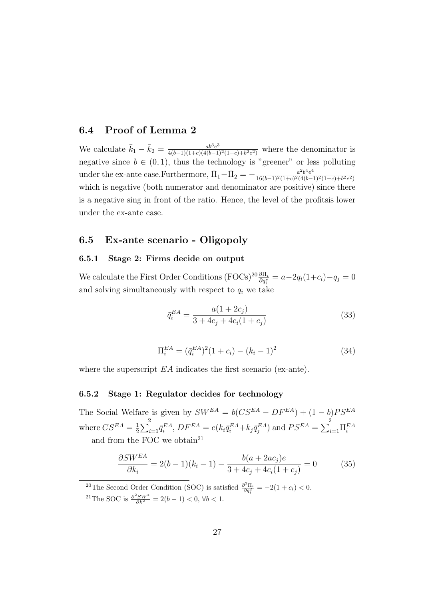# 6.4 Proof of Lemma 2

We calculate  $\bar{k}_1 - \bar{k}_2 = \frac{ab^3e^3}{4(b-1)(1+c)(4(b-1))}$  $\frac{ab^3e^3}{4(b-1)(1+c)(4(b-1)^2(1+c)+b^2e^2)}$  where the denominator is negative since  $b \in (0, 1)$ , thus the technology is "greener" or less polluting under the ex-ante case. Furthermore,  $\bar{\Pi}_1 - \bar{\Pi}_2 = -\frac{a^2b^4e^4}{16(b-1)^2(1+c)^2(4(b-1))^2}$  $\frac{16(b-1)^2(1+c)^2(4(b-1)^2(1+c)+b^2e^2)}{2(b-1)^2(1+c)}$ which is negative (both numerator and denominator are positive) since there is a negative sing in front of the ratio. Hence, the level of the profitsis lower under the ex-ante case.

### 6.5 Ex-ante scenario - Oligopoly

### 6.5.1 Stage 2: Firms decide on output

We calculate the First Order Conditions  $(FOCs)^{20} \frac{\partial \Pi_i}{\partial q_i^*} = a - 2q_i(1+c_i) - q_j = 0$ and solving simultaneously with respect to  $q_i$  we take

$$
\bar{q}_i^{EA} = \frac{a(1+2c_j)}{3+4c_j+4c_i(1+c_j)}
$$
\n(33)

$$
\Pi_i^{EA} = (\bar{q}_i^{EA})^2 (1 + c_i) - (k_i - 1)^2 \tag{34}
$$

where the superscript EA indicates the first scenario (ex-ante).

### 6.5.2 Stage 1: Regulator decides for technology

The Social Welfare is given by  $SW^{EA} = b(CS^{EA} - DF^{EA}) + (1 - b)PS^{EA}$ where  $CS^{EA} = \frac{1}{2}$  $\frac{1}{2}\sum_{i}^{2}$  $\frac{a}{i=1}\bar{q}_{i}^{EA}$ ,  $DF^{EA} = e(k_{i}\bar{q}_{i}^{EA} + k_{j}\bar{q}_{j}^{EA})$  and  $PS^{EA} = \sum_{i=1}^{2} \Pi_{i}^{EA}$ and from the FOC we obtain<sup>21</sup>

$$
\frac{\partial SW^{EA}}{\partial k_i} = 2(b-1)(k_i - 1) - \frac{b(a+2ac_j)e}{3+4c_j+4c_i(1+c_j)} = 0 \tag{35}
$$

<sup>20</sup>The Second Order Condition (SOC) is satisfied  $\frac{\partial^2 \Pi_i}{\partial q_i^2} = -2(1+c_i) < 0$ .

<sup>&</sup>lt;sup>21</sup>The SOC is  $\frac{\partial^2 SW^*}{\partial k^2} = 2(b-1) < 0, \forall b < 1.$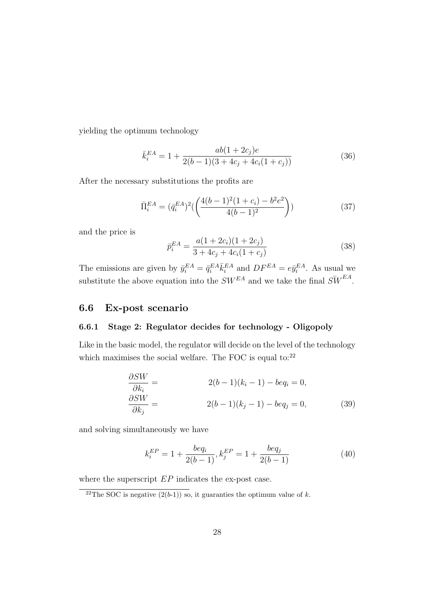yielding the optimum technology

$$
\bar{k}_i^{EA} = 1 + \frac{ab(1+2c_j)e}{2(b-1)(3+4c_j+4c_i(1+c_j))}
$$
\n(36)

After the necessary substitutions the profits are

$$
\bar{\Pi}_i^{EA} = (\bar{q}_i^{EA})^2 \left( \frac{4(b-1)^2 (1+c_i) - b^2 e^2}{4(b-1)^2} \right)
$$
\n(37)

and the price is

$$
\bar{p}_i^{EA} = \frac{a(1+2c_i)(1+2c_j)}{3+4c_j+4c_i(1+c_j)}
$$
\n(38)

The emissions are given by  $\bar{y}_i^{EA} = \bar{q}_i^{EA} \bar{k}_i^{EA}$  and  $DF^{EA} = e\bar{y}_i^{EA}$ . As usual we substitute the above equation into the  $SW^{EA}$  and we take the final  $\bar{SW}^{EA}$ .

# 6.6 Ex-post scenario

### 6.6.1 Stage 2: Regulator decides for technology - Oligopoly

Like in the basic model, the regulator will decide on the level of the technology which maximises the social welfare. The FOC is equal to: $22$ 

$$
\frac{\partial SW}{\partial k_i} = 2(b-1)(k_i - 1) - beq_i = 0,
$$
  
\n
$$
\frac{\partial SW}{\partial k_j} = 2(b-1)(k_j - 1) - beq_j = 0,
$$
\n(39)

and solving simultaneously we have

$$
k_i^{EP} = 1 + \frac{beq_i}{2(b-1)}, k_j^{EP} = 1 + \frac{beq_j}{2(b-1)}
$$
(40)

where the superscript  $EP$  indicates the ex-post case.

<sup>&</sup>lt;sup>22</sup>The SOC is negative  $(2(b-1))$  so, it guaranties the optimum value of k.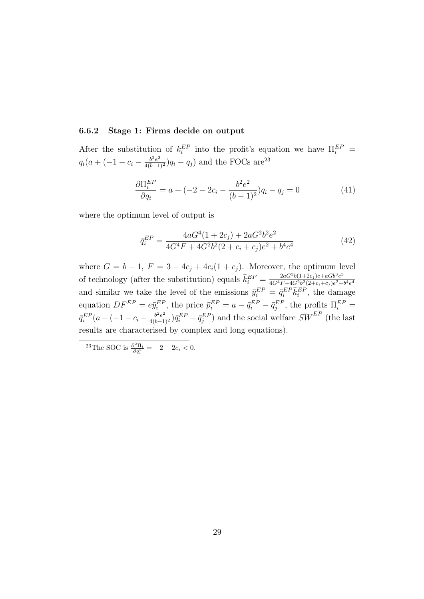### 6.6.2 Stage 1: Firms decide on output

After the substitution of  $k_i^{EP}$  into the profit's equation we have  $\Pi_i^{EP}$  =  $q_i(a + (-1 - c_i - \frac{b^2 e^2}{4(b-1)^2})q_i - q_j)$  and the FOCs are<sup>23</sup>

$$
\frac{\partial \Pi_i^{EP}}{\partial q_i} = a + (-2 - 2c_i - \frac{b^2 e^2}{(b-1)^2})q_i - q_j = 0 \tag{41}
$$

where the optimum level of output is

$$
\bar{q}_i^{EP} = \frac{4aG^4(1+2c_j) + 2aG^2b^2e^2}{4G^4F + 4G^2b^2(2+c_i+c_j)e^2 + b^4e^4}
$$
(42)

where  $G = b - 1$ ,  $F = 3 + 4c_j + 4c_i(1 + c_j)$ . Moreover, the optimum level of technology (after the substitution) equals ¯k EP <sup>i</sup> = 2aG<sup>3</sup> b(1+2c<sup>j</sup> )e+aGb3e 3  $4G^4F + 4G^2b^2(2+c_i+c_j)e^2 + b^4e^4$ and similar we take the level of the emissions  $\bar{y}_i^{EP} = \bar{q}_i^{EP} \bar{k}_i^{EP}$ , the damage equation  $DF^{EP} = e\bar{y}_i^{EP}$ , the price  $\bar{p}_i^{EP} = a - \bar{q}_i^{EP} - \bar{q}_j^{EP}$ , the profits  $\Pi_i^{EP} = \bar{q}_i^{EP}$  $\bar{q}^{EP}_i(a+(-1-c_i-\frac{b^2e^2}{4(b-1)^2})\bar{q}^{EP}_i-\bar{q}^{EP}_j)$  and the social welfare  $S\bar{W}^{EP}$  (the last results are characterised by complex and long equations).

<sup>23</sup>The SOC is  $\frac{\partial^2 \Pi_i}{\partial q_i^2} = -2 - 2c_i < 0$ .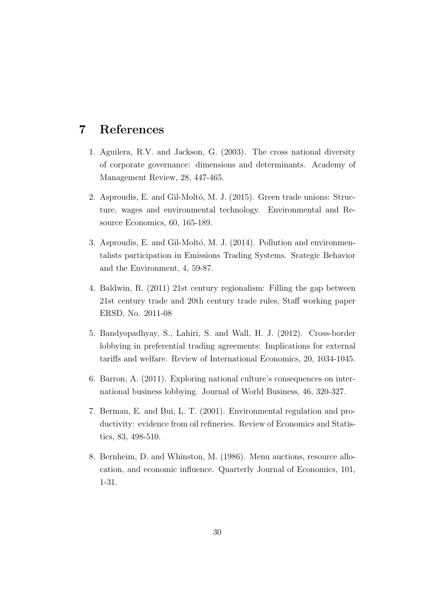# 7 References

- 1. Aguilera, R.V. and Jackson, G. (2003). The cross national diversity of corporate governance: dimensions and determinants. Academy of Management Review, 28, 447-465.
- 2. Asproudis, E. and Gil-Moltó, M. J. (2015). Green trade unions: Structure, wages and environmental technology. Environmental and Resource Economics, 60, 165-189.
- 3. Asproudis, E. and Gil-Moltó, M. J. (2014). Pollution and environmentalists participation in Emissions Trading Systems. Srategic Behavior and the Environment, 4, 59-87.
- 4. Baldwin, R. (2011) 21st century regionalism: Filling the gap between 21st century trade and 20th century trade rules, Staff working paper ERSD, No. 2011-08
- 5. Bandyopadhyay, S., Lahiri, S. and Wall, H. J. (2012). Cross-border lobbying in preferential trading agreements: Implications for external tariffs and welfare. Review of International Economics, 20, 1034-1045.
- 6. Barron, A. (2011). Exploring national culture's consequences on international business lobbying. Journal of World Business, 46, 320-327.
- 7. Berman, E. and Bui, L. T. (2001). Environmental regulation and productivity: evidence from oil refineries. Review of Economics and Statistics, 83, 498-510.
- 8. Bernheim, D. and Whinston, M. (1986). Menu auctions, resource allocation, and economic influence. Quarterly Journal of Economics, 101, 1-31.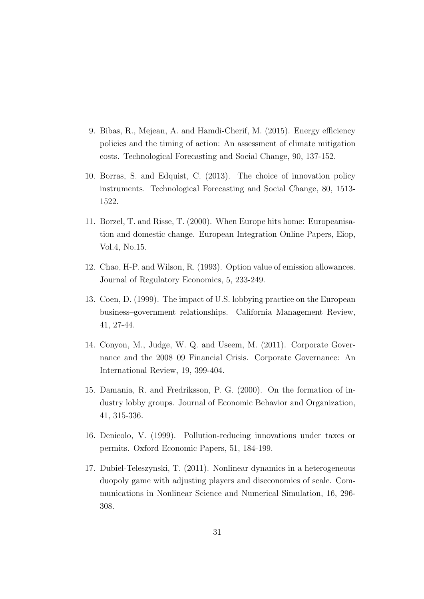- 9. Bibas, R., Mejean, A. and Hamdi-Cherif, M. (2015). Energy efficiency policies and the timing of action: An assessment of climate mitigation costs. Technological Forecasting and Social Change, 90, 137-152.
- 10. Borras, S. and Edquist, C. (2013). The choice of innovation policy instruments. Technological Forecasting and Social Change, 80, 1513- 1522.
- 11. Borzel, T. and Risse, T. (2000). When Europe hits home: Europeanisation and domestic change. European Integration Online Papers, Eiop, Vol.4, No.15.
- 12. Chao, H-P. and Wilson, R. (1993). Option value of emission allowances. Journal of Regulatory Economics, 5, 233-249.
- 13. Coen, D. (1999). The impact of U.S. lobbying practice on the European business–government relationships. California Management Review, 41, 27-44.
- 14. Conyon, M., Judge, W. Q. and Useem, M. (2011). Corporate Governance and the 2008–09 Financial Crisis. Corporate Governance: An International Review, 19, 399-404.
- 15. Damania, R. and Fredriksson, P. G. (2000). On the formation of industry lobby groups. Journal of Economic Behavior and Organization, 41, 315-336.
- 16. Denicolo, V. (1999). Pollution-reducing innovations under taxes or permits. Oxford Economic Papers, 51, 184-199.
- 17. Dubiel-Teleszynski, T. (2011). Nonlinear dynamics in a heterogeneous duopoly game with adjusting players and diseconomies of scale. Communications in Nonlinear Science and Numerical Simulation, 16, 296- 308.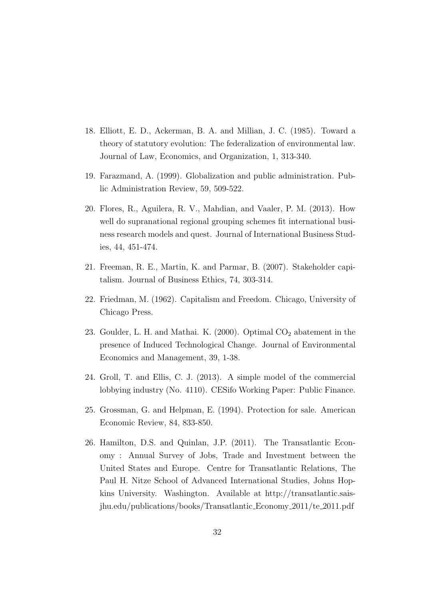- 18. Elliott, E. D., Ackerman, B. A. and Millian, J. C. (1985). Toward a theory of statutory evolution: The federalization of environmental law. Journal of Law, Economics, and Organization, 1, 313-340.
- 19. Farazmand, A. (1999). Globalization and public administration. Public Administration Review, 59, 509-522.
- 20. Flores, R., Aguilera, R. V., Mahdian, and Vaaler, P. M. (2013). How well do supranational regional grouping schemes fit international business research models and quest. Journal of International Business Studies, 44, 451-474.
- 21. Freeman, R. E., Martin, K. and Parmar, B. (2007). Stakeholder capitalism. Journal of Business Ethics, 74, 303-314.
- 22. Friedman, M. (1962). Capitalism and Freedom. Chicago, University of Chicago Press.
- 23. Goulder, L. H. and Mathai. K.  $(2000)$ . Optimal  $CO<sub>2</sub>$  abatement in the presence of Induced Technological Change. Journal of Environmental Economics and Management, 39, 1-38.
- 24. Groll, T. and Ellis, C. J. (2013). A simple model of the commercial lobbying industry (No. 4110). CESifo Working Paper: Public Finance.
- 25. Grossman, G. and Helpman, E. (1994). Protection for sale. American Economic Review, 84, 833-850.
- 26. Hamilton, D.S. and Quinlan, J.P. (2011). The Transatlantic Economy : Annual Survey of Jobs, Trade and Investment between the United States and Europe. Centre for Transatlantic Relations, The Paul H. Nitze School of Advanced International Studies, Johns Hopkins University. Washington. Available at http://transatlantic.saisjhu.edu/publications/books/Transatlantic Economy 2011/te 2011.pdf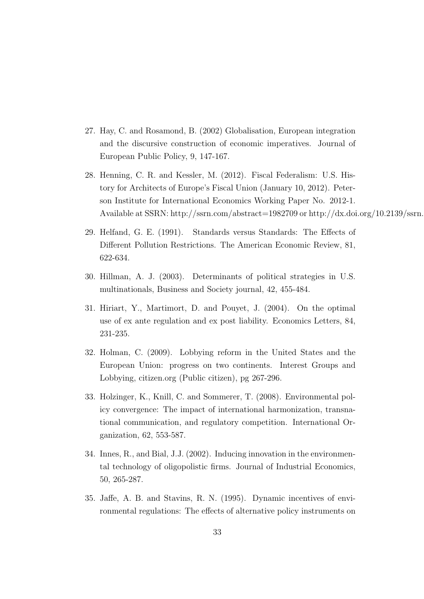- 27. Hay, C. and Rosamond, B. (2002) Globalisation, European integration and the discursive construction of economic imperatives. Journal of European Public Policy, 9, 147-167.
- 28. Henning, C. R. and Kessler, M. (2012). Fiscal Federalism: U.S. History for Architects of Europe's Fiscal Union (January 10, 2012). Peterson Institute for International Economics Working Paper No. 2012-1. Available at SSRN: http://ssrn.com/abstract=1982709 or http://dx.doi.org/10.2139/ssrn.
- 29. Helfand, G. E. (1991). Standards versus Standards: The Effects of Different Pollution Restrictions. The American Economic Review, 81, 622-634.
- 30. Hillman, A. J. (2003). Determinants of political strategies in U.S. multinationals, Business and Society journal, 42, 455-484.
- 31. Hiriart, Y., Martimort, D. and Pouyet, J. (2004). On the optimal use of ex ante regulation and ex post liability. Economics Letters, 84, 231-235.
- 32. Holman, C. (2009). Lobbying reform in the United States and the European Union: progress on two continents. Interest Groups and Lobbying, citizen.org (Public citizen), pg 267-296.
- 33. Holzinger, K., Knill, C. and Sommerer, T. (2008). Environmental policy convergence: The impact of international harmonization, transnational communication, and regulatory competition. International Organization, 62, 553-587.
- 34. Innes, R., and Bial, J.J. (2002). Inducing innovation in the environmental technology of oligopolistic firms. Journal of Industrial Economics, 50, 265-287.
- 35. Jaffe, A. B. and Stavins, R. N. (1995). Dynamic incentives of environmental regulations: The effects of alternative policy instruments on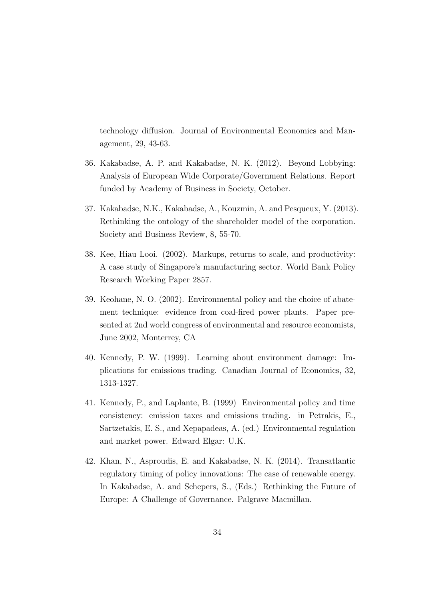technology diffusion. Journal of Environmental Economics and Management, 29, 43-63.

- 36. Kakabadse, A. P. and Kakabadse, N. K. (2012). Beyond Lobbying: Analysis of European Wide Corporate/Government Relations. Report funded by Academy of Business in Society, October.
- 37. Kakabadse, N.K., Kakabadse, A., Kouzmin, A. and Pesqueux, Y. (2013). Rethinking the ontology of the shareholder model of the corporation. Society and Business Review, 8, 55-70.
- 38. Kee, Hiau Looi. (2002). Markups, returns to scale, and productivity: A case study of Singapore's manufacturing sector. World Bank Policy Research Working Paper 2857.
- 39. Keohane, N. O. (2002). Environmental policy and the choice of abatement technique: evidence from coal-fired power plants. Paper presented at 2nd world congress of environmental and resource economists, June 2002, Monterrey, CA
- 40. Kennedy, P. W. (1999). Learning about environment damage: Implications for emissions trading. Canadian Journal of Economics, 32, 1313-1327.
- 41. Kennedy, P., and Laplante, B. (1999) Environmental policy and time consistency: emission taxes and emissions trading. in Petrakis, E., Sartzetakis, E. S., and Xepapadeas, A. (ed.) Environmental regulation and market power. Edward Elgar: U.K.
- 42. Khan, N., Asproudis, E. and Kakabadse, N. K. (2014). Transatlantic regulatory timing of policy innovations: The case of renewable energy. In Kakabadse, A. and Schepers, S., (Eds.) Rethinking the Future of Europe: A Challenge of Governance. Palgrave Macmillan.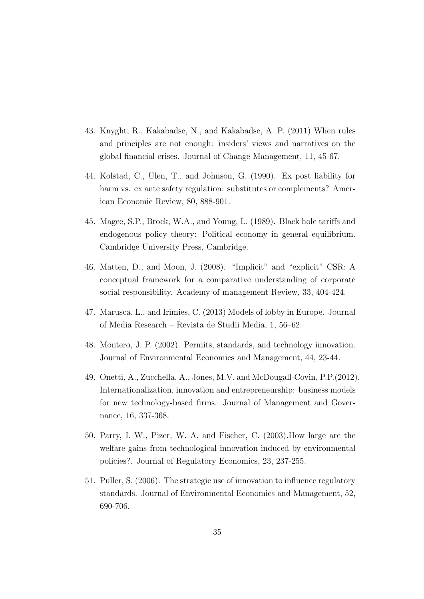- 43. Knyght, R., Kakabadse, N., and Kakabadse, A. P. (2011) When rules and principles are not enough: insiders' views and narratives on the global financial crises. Journal of Change Management, 11, 45-67.
- 44. Kolstad, C., Ulen, T., and Johnson, G. (1990). Ex post liability for harm vs. ex ante safety regulation: substitutes or complements? American Economic Review, 80, 888-901.
- 45. Magee, S.P., Brock, W.A., and Young, L. (1989). Black hole tariffs and endogenous policy theory: Political economy in general equilibrium. Cambridge University Press, Cambridge.
- 46. Matten, D., and Moon, J. (2008). "Implicit" and "explicit" CSR: A conceptual framework for a comparative understanding of corporate social responsibility. Academy of management Review, 33, 404-424.
- 47. Marusca, L., and Irimies, C. (2013) Models of lobby in Europe. Journal of Media Research – Revista de Studii Media, 1, 56–62.
- 48. Montero, J. P. (2002). Permits, standards, and technology innovation. Journal of Environmental Economics and Management, 44, 23-44.
- 49. Onetti, A., Zucchella, A., Jones, M.V. and McDougall-Covin, P.P.(2012). Internationalization, innovation and entrepreneurship: business models for new technology-based firms. Journal of Management and Governance, 16, 337-368.
- 50. Parry, I. W., Pizer, W. A. and Fischer, C. (2003).How large are the welfare gains from technological innovation induced by environmental policies?. Journal of Regulatory Economics, 23, 237-255.
- 51. Puller, S. (2006). The strategic use of innovation to influence regulatory standards. Journal of Environmental Economics and Management, 52, 690-706.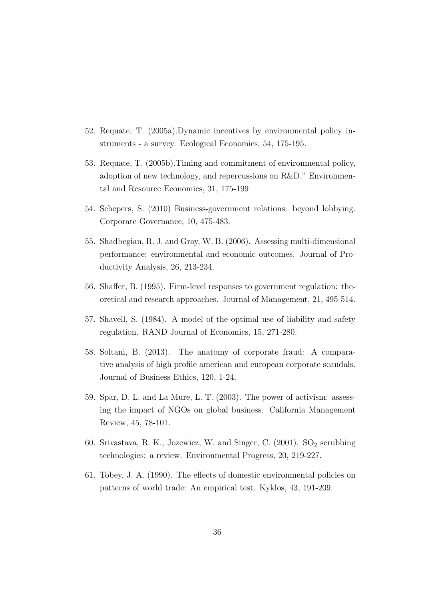- 52. Requate, T. (2005a).Dynamic incentives by environmental policy instruments - a survey. Ecological Economics, 54, 175-195.
- 53. Requate, T. (2005b).Timing and commitment of environmental policy, adoption of new technology, and repercussions on R&D," Environmental and Resource Economics, 31, 175-199
- 54. Schepers, S. (2010) Business-government relations: beyond lobbying. Corporate Governance, 10, 475-483.
- 55. Shadbegian, R. J. and Gray, W. B. (2006). Assessing multi-dimensional performance: environmental and economic outcomes. Journal of Productivity Analysis, 26, 213-234.
- 56. Shaffer, B. (1995). Firm-level responses to government regulation: theoretical and research approaches. Journal of Management, 21, 495-514.
- 57. Shavell, S. (1984). A model of the optimal use of liability and safety regulation. RAND Journal of Economics, 15, 271-280.
- 58. Soltani, B. (2013). The anatomy of corporate fraud: A comparative analysis of high profile american and european corporate scandals. Journal of Business Ethics, 120, 1-24.
- 59. Spar, D. L. and La Mure, L. T. (2003). The power of activism: assessing the impact of NGOs on global business. California Management Review, 45, 78-101.
- 60. Srivastava, R. K., Jozewicz, W. and Singer, C.  $(2001)$ . SO<sub>2</sub> scrubbing technologies: a review. Environmental Progress, 20, 219-227.
- 61. Tobey, J. A. (1990). The effects of domestic environmental policies on patterns of world trade: An empirical test. Kyklos, 43, 191-209.